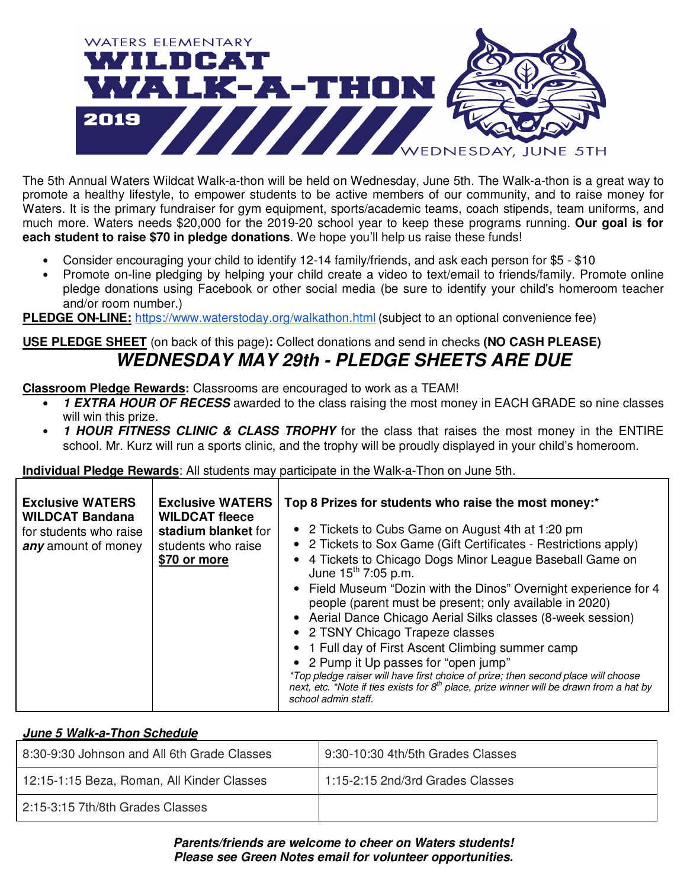

The 5th Annual Waters Wildcat Walk-a-thon will be held on Wednesday, June 5th. The Walk-a-thon is a great way to promote a healthy lifestyle, to empower students to be active members of our community, and to raise money for Waters. It is the primary fundraiser for gym equipment, sports/academic teams, coach stipends, team uniforms, and much more. Waters needs \$20,000 for the 2019-20 school year to keep these programs running. **Our goal is for each student to raise \$70 in pledge donations**. We hope you'll help us raise these funds!

- Consider encouraging your child to identify 12-14 family/friends, and ask each person for \$5 \$10
- Promote on-line pledging by helping your child create a video to text/email to friends/family. Promote online pledge donations using Facebook or other social media (be sure to identify your child's homeroom teacher and/or room number.)

**PLEDGE ON-LINE:** https://www.waterstoday.org/walkathon.html (subject to an optional convenience fee)

## **USE PLEDGE SHEET** (on back of this page)**:** Collect donations and send in checks **(NO CASH PLEASE)**  *WEDNESDAY MAY 29th - PLEDGE SHEETS ARE DUE*

**Classroom Pledge Rewards:** Classrooms are encouraged to work as a TEAM!

- **1 EXTRA HOUR OF RECESS** awarded to the class raising the most money in EACH GRADE so nine classes will win this prize.
- *1 HOUR FITNESS CLINIC & CLASS TROPHY* for the class that raises the most money in the ENTIRE school. Mr. Kurz will run a sports clinic, and the trophy will be proudly displayed in your child's homeroom.

**Individual Pledge Rewards**: All students may participate in the Walk-a-Thon on June 5th.

| <b>Exclusive WATERS</b><br><b>Exclusive WATERS</b><br><b>WILDCAT Bandana</b><br><b>WILDCAT fleece</b><br>stadium blanket for<br>for students who raise<br>students who raise<br>any amount of money<br>\$70 or more | Top 8 Prizes for students who raise the most money:*<br>• 2 Tickets to Cubs Game on August 4th at 1:20 pm<br>• 2 Tickets to Sox Game (Gift Certificates - Restrictions apply)<br>4 Tickets to Chicago Dogs Minor League Baseball Game on<br>June $15^{th}$ 7:05 p.m.<br>• Field Museum "Dozin with the Dinos" Overnight experience for 4<br>people (parent must be present; only available in 2020)<br>• Aerial Dance Chicago Aerial Silks classes (8-week session)<br>• 2 TSNY Chicago Trapeze classes<br>1 Full day of First Ascent Climbing summer camp<br>• 2 Pump it Up passes for "open jump"<br>*Top pledge raiser will have first choice of prize; then second place will choose<br>next, etc. *Note if ties exists for $8th$ place, prize winner will be drawn from a hat by<br>school admin staff. |
|---------------------------------------------------------------------------------------------------------------------------------------------------------------------------------------------------------------------|--------------------------------------------------------------------------------------------------------------------------------------------------------------------------------------------------------------------------------------------------------------------------------------------------------------------------------------------------------------------------------------------------------------------------------------------------------------------------------------------------------------------------------------------------------------------------------------------------------------------------------------------------------------------------------------------------------------------------------------------------------------------------------------------------------------|
|---------------------------------------------------------------------------------------------------------------------------------------------------------------------------------------------------------------------|--------------------------------------------------------------------------------------------------------------------------------------------------------------------------------------------------------------------------------------------------------------------------------------------------------------------------------------------------------------------------------------------------------------------------------------------------------------------------------------------------------------------------------------------------------------------------------------------------------------------------------------------------------------------------------------------------------------------------------------------------------------------------------------------------------------|

## *June 5 Walk-a-Thon Schedule*

| 8:30-9:30 Johnson and All 6th Grade Classes | 9:30-10:30 4th/5th Grades Classes |
|---------------------------------------------|-----------------------------------|
| 12:15-1:15 Beza, Roman, All Kinder Classes  | 1:15-2:15 2nd/3rd Grades Classes  |
| 2:15-3:15 7th/8th Grades Classes            |                                   |

*Parents/friends are welcome to cheer on Waters students! Please see Green Notes email for volunteer opportunities.*